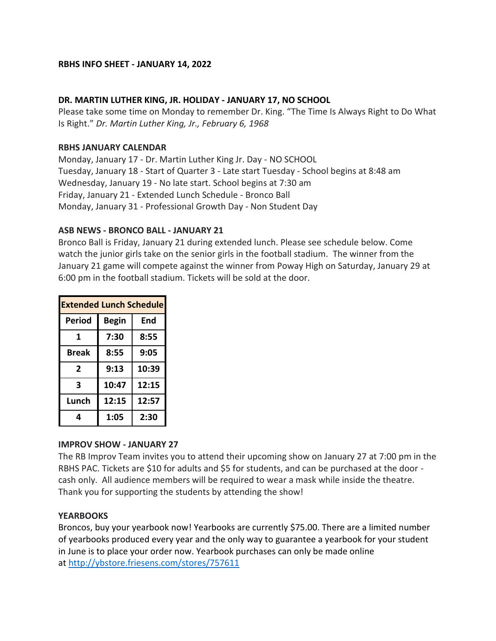### **RBHS INFO SHEET - JANUARY 14, 2022**

### **DR. MARTIN LUTHER KING, JR. HOLIDAY - JANUARY 17, NO SCHOOL**

Please take some time on Monday to remember Dr. King. "The Time Is Always Right to Do What Is Right." *Dr. Martin Luther King, Jr., February 6, 1968*

#### **RBHS JANUARY CALENDAR**

Monday, January 17 - Dr. Martin Luther King Jr. Day - NO SCHOOL Tuesday, January 18 - Start of Quarter 3 - Late start Tuesday - School begins at 8:48 am Wednesday, January 19 - No late start. School begins at 7:30 am Friday, January 21 - Extended Lunch Schedule - Bronco Ball Monday, January 31 - Professional Growth Day - Non Student Day

#### **ASB NEWS - BRONCO BALL - JANUARY 21**

Bronco Ball is Friday, January 21 during extended lunch. Please see schedule below. Come watch the junior girls take on the senior girls in the football stadium. The winner from the January 21 game will compete against the winner from Poway High on Saturday, January 29 at 6:00 pm in the football stadium. Tickets will be sold at the door.

| <b>Extended Lunch Schedule</b> |              |       |
|--------------------------------|--------------|-------|
| Period                         | <b>Begin</b> | End   |
| 1                              | 7:30         | 8:55  |
| Break                          | 8:55         | 9:05  |
| 2                              | 9:13         | 10:39 |
| 3                              | 10:47        | 12:15 |
| Lunch                          | 12:15        | 12:57 |
| 4                              | 1:05         | 2:30  |

#### **IMPROV SHOW - JANUARY 27**

The RB Improv Team invites you to attend their upcoming show on January 27 at 7:00 pm in the RBHS PAC. Tickets are \$10 for adults and \$5 for students, and can be purchased at the door cash only. All audience members will be required to wear a mask while inside the theatre. Thank you for supporting the students by attending the show!

#### **YEARBOOKS**

Broncos, buy your yearbook now! Yearbooks are currently \$75.00. There are a limited number of yearbooks produced every year and the only way to guarantee a yearbook for your student in June is to place your order now. Yearbook purchases can only be made online at <http://ybstore.friesens.com/stores/757611>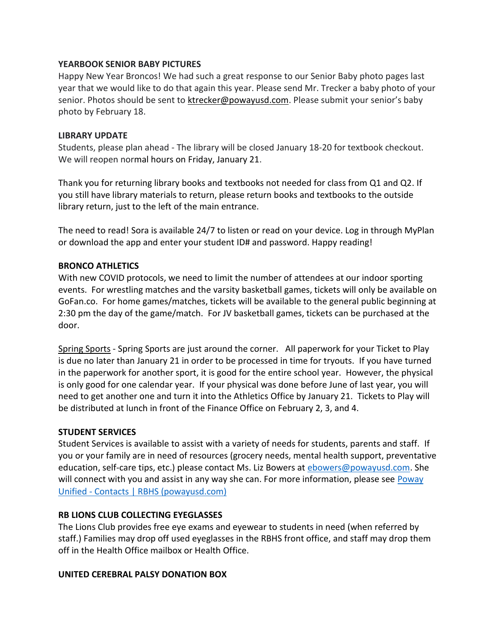### **YEARBOOK SENIOR BABY PICTURES**

Happy New Year Broncos! We had such a great response to our Senior Baby photo pages last year that we would like to do that again this year. Please send Mr. Trecker a baby photo of your senior. Photos should be sent to [ktrecker@powayusd.com.](mailto:ktrecker@powayusd.com) Please submit your senior's baby photo by February 18.

### **LIBRARY UPDATE**

Students, please plan ahead - The library will be closed January 18-20 for textbook checkout. We will reopen normal hours on Friday, January 21.

Thank you for returning library books and textbooks not needed for class from Q1 and Q2. If you still have library materials to return, please return books and textbooks to the outside library return, just to the left of the main entrance.

The need to read! Sora is available 24/7 to listen or read on your device. Log in through MyPlan or download the app and enter your student ID# and password. Happy reading!

### **BRONCO ATHLETICS**

With new COVID protocols, we need to limit the number of attendees at our indoor sporting events. For wrestling matches and the varsity basketball games, tickets will only be available on GoFan.co. For home games/matches, tickets will be available to the general public beginning at 2:30 pm the day of the game/match. For JV basketball games, tickets can be purchased at the door.

Spring Sports - Spring Sports are just around the corner. All paperwork for your Ticket to Play is due no later than January 21 in order to be processed in time for tryouts. If you have turned in the paperwork for another sport, it is good for the entire school year. However, the physical is only good for one calendar year. If your physical was done before June of last year, you will need to get another one and turn it into the Athletics Office by January 21. Tickets to Play will be distributed at lunch in front of the Finance Office on February 2, 3, and 4.

## **STUDENT SERVICES**

Student Services is available to assist with a variety of needs for students, parents and staff. If you or your family are in need of resources (grocery needs, mental health support, preventative education, self-care tips, etc.) please contact Ms. Liz Bowers at [ebowers@powayusd.com.](mailto:ebowers@powayusd.com) She will connect with you and assist in any way she can. For more information, please see Poway Unified - [Contacts | RBHS \(powayusd.com\)](https://www.powayusd.com/en-US/Schools/HS/RBHS/CONTACTS/Student-Services)

#### **RB LIONS CLUB COLLECTING EYEGLASSES**

The Lions Club provides free eye exams and eyewear to students in need (when referred by staff.) Families may drop off used eyeglasses in the RBHS front office, and staff may drop them off in the Health Office mailbox or Health Office.

#### **UNITED CEREBRAL PALSY DONATION BOX**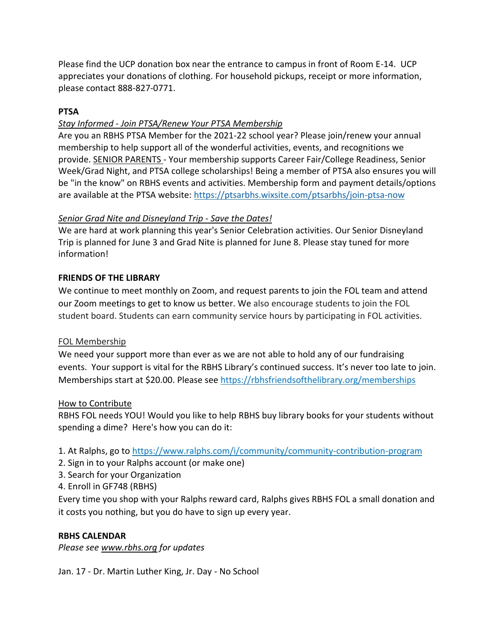Please find the UCP donation box near the entrance to campus in front of Room E-14. UCP appreciates your donations of clothing. For household pickups, receipt or more information, please contact 888-827-0771.

# **PTSA**

# *Stay Informed - Join PTSA/Renew Your PTSA Membership*

Are you an RBHS PTSA Member for the 2021-22 school year? Please join/renew your annual membership to help support all of the wonderful activities, events, and recognitions we provide. SENIOR PARENTS - Your membership supports Career Fair/College Readiness, Senior Week/Grad Night, and PTSA college scholarships! Being a member of PTSA also ensures you will be "in the know" on RBHS events and activities. Membership form and payment details/options are available at the PTSA website: [https://ptsarbhs.wixsite.com/ptsarbhs/join-ptsa-now](https://linkprotect.cudasvc.com/url?a=https%3a%2f%2fptsarbhs.wixsite.com%2fptsarbhs%2fjoin-ptsa-now&c=E,1,RMbG1ZNDKOwxdeu8FXUorhWp3QRnJXuZvxT5AIf6oZUQXZx92BvasJPrHrUsnpTZWnC0ng8ajMYfnWE_gwVcW2Rn3oFC9zHOV4bDO54cogBnwLg,&typo=0)

## *Senior Grad Nite and Disneyland Trip - Save the Dates!*

We are hard at work planning this year's Senior Celebration activities. Our Senior Disneyland Trip is planned for June 3 and Grad Nite is planned for June 8. Please stay tuned for more information!

# **FRIENDS OF THE LIBRARY**

We continue to meet monthly on Zoom, and request parents to join the FOL team and attend our Zoom meetings to get to know us better. We also encourage students to join the FOL student board. Students can earn community service hours by participating in FOL activities.

## FOL Membership

We need your support more than ever as we are not able to hold any of our fundraising events. Your support is vital for the RBHS Library's continued success. It's never too late to join. Memberships start at \$20.00. Please see [https://rbhsfriendsofthelibrary.org/memberships](https://linkprotect.cudasvc.com/url?a=https%3a%2f%2frbhsfriendsofthelibrary.org%2fmembership&c=E,1,ACkmCTTYAIvZTNxVTJ-ShWz-o5tYxio0HfgE3iJKwecS5oraxLZuhlcFjwzObd3P32T6Ua26kNb2Q6_IbMhD4l9oRY9N16mR3HWGxIfFal5s8-WG4rM,&typo=0)

## How to Contribute

RBHS FOL needs YOU! Would you like to help RBHS buy library books for your students without spending a dime? Here's how you can do it:

- 1. At Ralphs, go to [https://www.ralphs.com/i/community/community-contribution-program](https://linkprotect.cudasvc.com/url?a=https%3a%2f%2fwww.ralphs.com%2fi%2fcommunity%2fcommunity-contribution-program&c=E,1,a2ab3-xEIEHdC--gGRQqkbhzXBUmcfaChDr94HUxNCvJfdDWk4UGmtmTse6OaA48wPbEbu7s0jlqLh7CdlaXYCLXrWChpLbMRx0ifhTYwA,,&typo=0)
- 2. Sign in to your Ralphs account (or make one)
- 3. Search for your Organization
- 4. Enroll in GF748 (RBHS)

Every time you shop with your Ralphs reward card, Ralphs gives RBHS FOL a small donation and it costs you nothing, but you do have to sign up every year.

## **RBHS CALENDAR**

*Please see [www.rbhs.org](http://www.rbhs.org/) for updates*

Jan. 17 - Dr. Martin Luther King, Jr. Day - No School